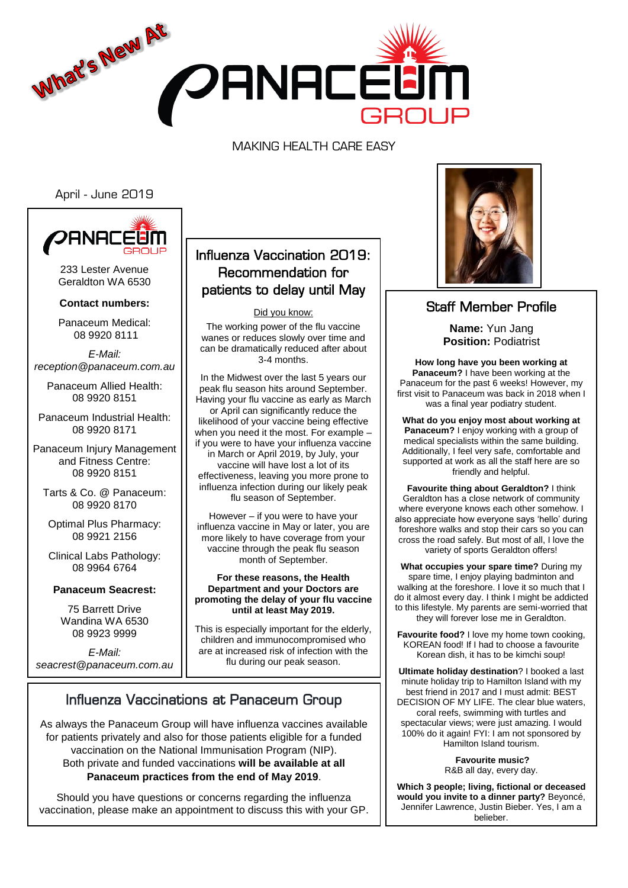

MAKING HEALTH CARE EASY

April - June 2019



233 Lester Avenue Geraldton WA 6530

**Contact numbers:**

Panaceum Medical: 08 9920 8111

*E-Mail: reception@panaceum.com.au*

Panaceum Allied Health: 08 9920 8151

Panaceum Industrial Health: 08 9920 8171

Panaceum Injury Management and Fitness Centre: 08 9920 8151

Tarts & Co. @ Panaceum: 08 9920 8170

Optimal Plus Pharmacy: 08 9921 2156

Clinical Labs Pathology: 08 9964 6764

**Panaceum Seacrest:**

75 Barrett Drive Wandina WA 6530 08 9923 9999

*E-Mail: seacrest@panaceum.com.au*

## Influenza Vaccination 2019: Recommendation for patients to delay until May

Did you know:

The working power of the flu vaccine wanes or reduces slowly over time and can be dramatically reduced after about 3-4 months.

In the Midwest over the last 5 years our peak flu season hits around September. Having your flu vaccine as early as March or April can significantly reduce the likelihood of your vaccine being effective when you need it the most. For example – if you were to have your influenza vaccine in March or April 2019, by July, your vaccine will have lost a lot of its effectiveness, leaving you more prone to influenza infection during our likely peak flu season of September.

However – if you were to have your influenza vaccine in May or later, you are more likely to have coverage from your vaccine through the peak flu season month of September.

#### **For these reasons, the Health Department and your Doctors are promoting the delay of your flu vaccine until at least May 2019.**

This is especially important for the elderly, children and immunocompromised who are at increased risk of infection with the flu during our peak season.

# Influenza Vaccinations at Panaceum Group

As always the Panaceum Group will have influenza vaccines available for patients privately and also for those patients eligible for a funded vaccination on the National Immunisation Program (NIP). Both private and funded vaccinations **will be available at all Panaceum practices from the end of May 2019**.

Should you have questions or concerns regarding the influenza vaccination, please make an appointment to discuss this with your GP. L



## Staff Member Profile

**Name:** Yun Jang **Position:** Podiatrist

**How long have you been working at Panaceum?** I have been working at the Panaceum for the past 6 weeks! However, my first visit to Panaceum was back in 2018 when I was a final year podiatry student.

**What do you enjoy most about working at Panaceum?** I enjoy working with a group of medical specialists within the same building. Additionally, I feel very safe, comfortable and supported at work as all the staff here are so friendly and helpful.

**Favourite thing about Geraldton?** I think Geraldton has a close network of community where everyone knows each other somehow. I also appreciate how everyone says 'hello' during foreshore walks and stop their cars so you can cross the road safely. But most of all, I love the variety of sports Geraldton offers!

**What occupies your spare time?** During my spare time, I enjoy playing badminton and walking at the foreshore. I love it so much that I do it almost every day. I think I might be addicted to this lifestyle. My parents are semi-worried that they will forever lose me in Geraldton.

**Favourite food?** I love my home town cooking, KOREAN food! If I had to choose a favourite Korean dish, it has to be kimchi soup!

**Ultimate holiday destination**? I booked a last minute holiday trip to Hamilton Island with my best friend in 2017 and I must admit: BEST DECISION OF MY LIFE. The clear blue waters, coral reefs, swimming with turtles and spectacular views; were just amazing. I would 100% do it again! FYI: I am not sponsored by Hamilton Island tourism.

> **Favourite music?** R&B all day, every day.

**Which 3 people; living, fictional or deceased would you invite to a dinner party?** Beyoncé, Jennifer Lawrence, Justin Bieber. Yes, I am a belieber.